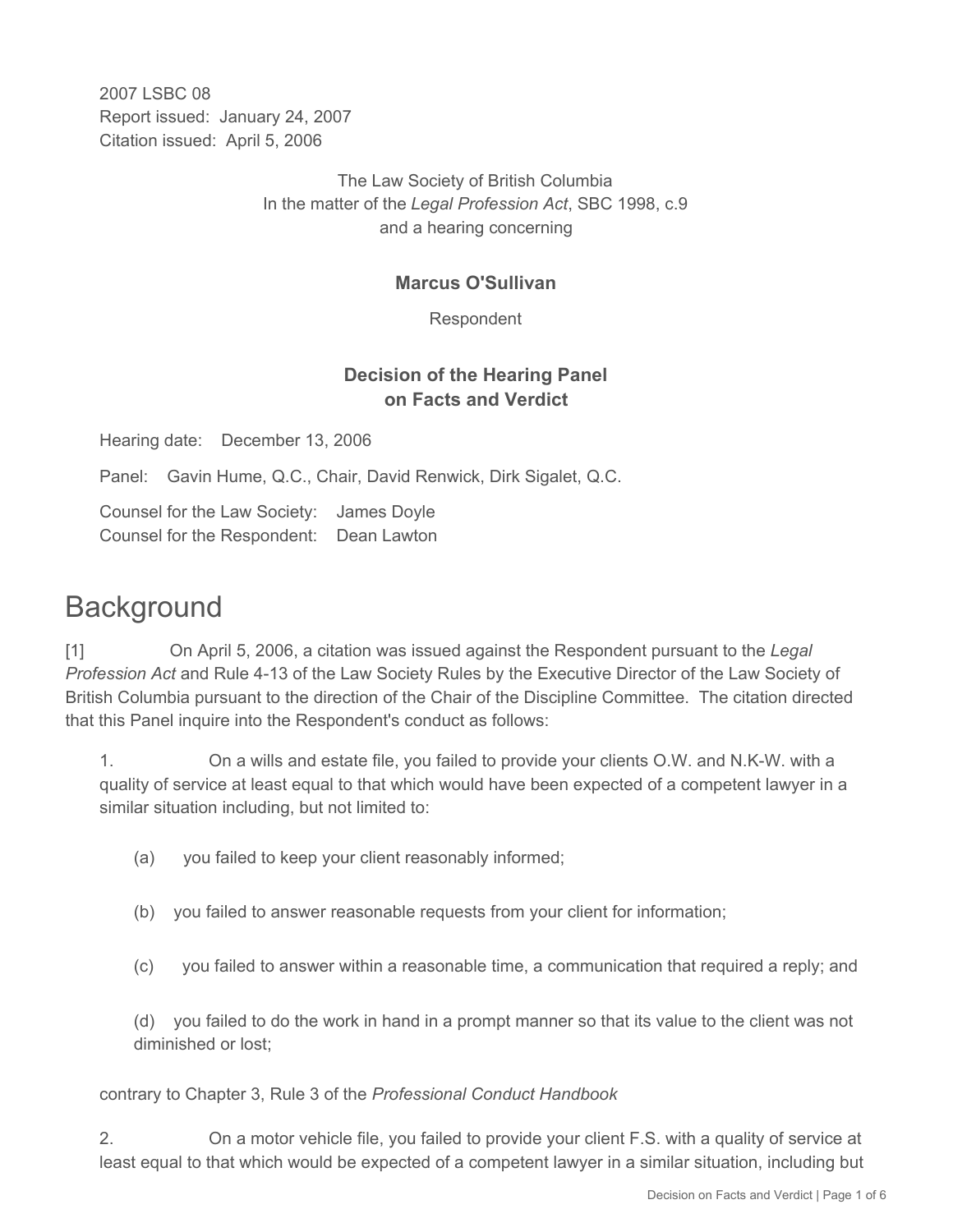2007 LSBC 08 Report issued: January 24, 2007 Citation issued: April 5, 2006

> The Law Society of British Columbia In the matter of the *Legal Profession Act*, SBC 1998, c.9 and a hearing concerning

### **Marcus O'Sullivan**

Respondent

## **Decision of the Hearing Panel on Facts and Verdict**

Hearing date: December 13, 2006

Panel: Gavin Hume, Q.C., Chair, David Renwick, Dirk Sigalet, Q.C.

Counsel for the Law Society: James Doyle Counsel for the Respondent: Dean Lawton

# **Background**

[1] On April 5, 2006, a citation was issued against the Respondent pursuant to the *Legal Profession Act* and Rule 4-13 of the Law Society Rules by the Executive Director of the Law Society of British Columbia pursuant to the direction of the Chair of the Discipline Committee. The citation directed that this Panel inquire into the Respondent's conduct as follows:

1. On a wills and estate file, you failed to provide your clients O.W. and N.K-W. with a quality of service at least equal to that which would have been expected of a competent lawyer in a similar situation including, but not limited to:

- (a) you failed to keep your client reasonably informed;
- (b) you failed to answer reasonable requests from your client for information;
- (c) you failed to answer within a reasonable time, a communication that required a reply; and

(d) you failed to do the work in hand in a prompt manner so that its value to the client was not diminished or lost;

contrary to Chapter 3, Rule 3 of the *Professional Conduct Handbook*

2. On a motor vehicle file, you failed to provide your client F.S. with a quality of service at least equal to that which would be expected of a competent lawyer in a similar situation, including but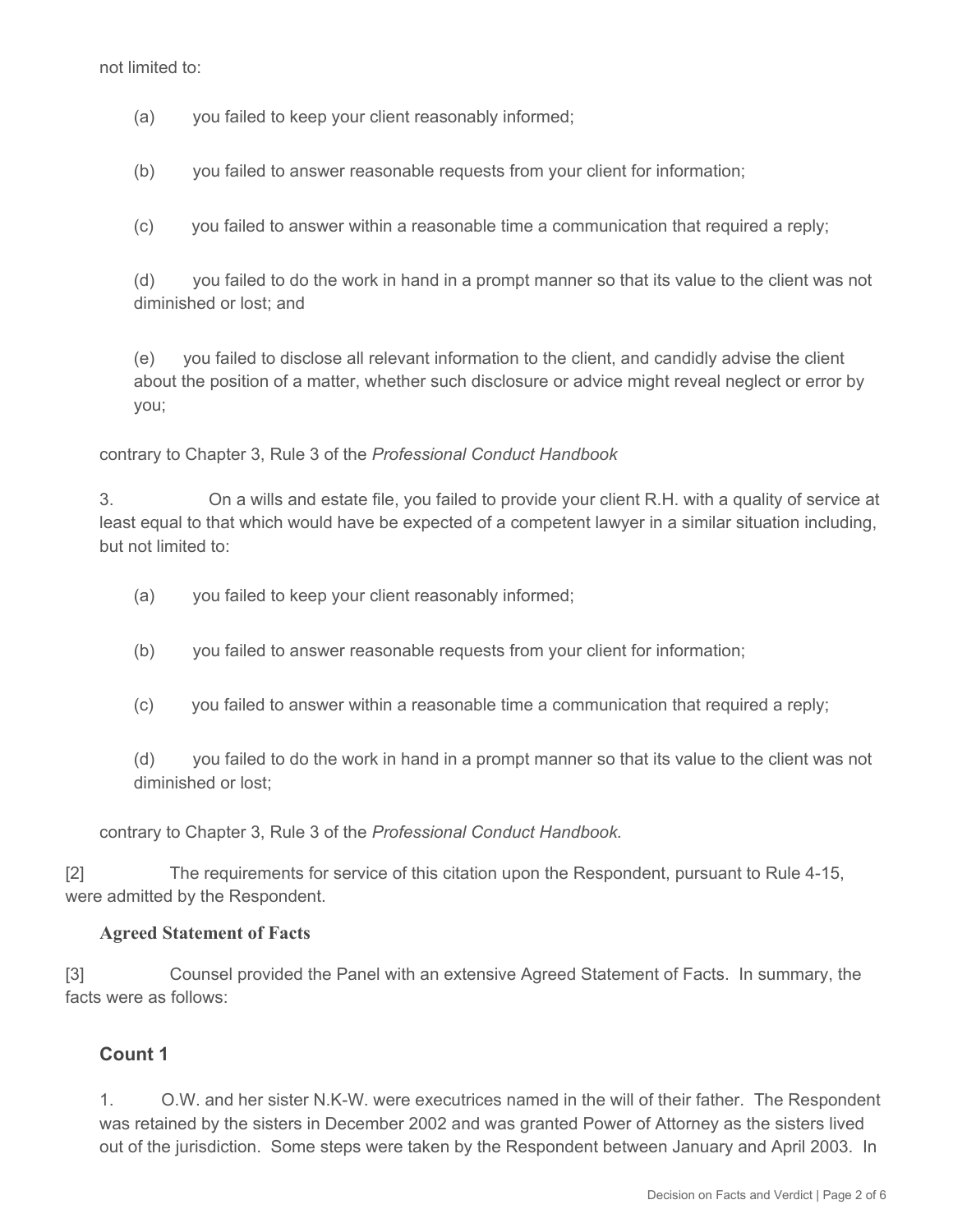not limited to:

- (a) you failed to keep your client reasonably informed;
- (b) you failed to answer reasonable requests from your client for information;
- (c) you failed to answer within a reasonable time a communication that required a reply;

(d) you failed to do the work in hand in a prompt manner so that its value to the client was not diminished or lost; and

(e) you failed to disclose all relevant information to the client, and candidly advise the client about the position of a matter, whether such disclosure or advice might reveal neglect or error by you;

contrary to Chapter 3, Rule 3 of the *Professional Conduct Handbook*

3. On a wills and estate file, you failed to provide your client R.H. with a quality of service at least equal to that which would have be expected of a competent lawyer in a similar situation including, but not limited to:

- (a) you failed to keep your client reasonably informed;
- (b) you failed to answer reasonable requests from your client for information;
- (c) you failed to answer within a reasonable time a communication that required a reply;

(d) you failed to do the work in hand in a prompt manner so that its value to the client was not diminished or lost;

contrary to Chapter 3, Rule 3 of the *Professional Conduct Handbook.*

[2] The requirements for service of this citation upon the Respondent, pursuant to Rule 4-15, were admitted by the Respondent.

#### **Agreed Statement of Facts**

[3] Counsel provided the Panel with an extensive Agreed Statement of Facts. In summary, the facts were as follows:

#### **Count 1**

1. O.W. and her sister N.K-W. were executrices named in the will of their father. The Respondent was retained by the sisters in December 2002 and was granted Power of Attorney as the sisters lived out of the jurisdiction. Some steps were taken by the Respondent between January and April 2003. In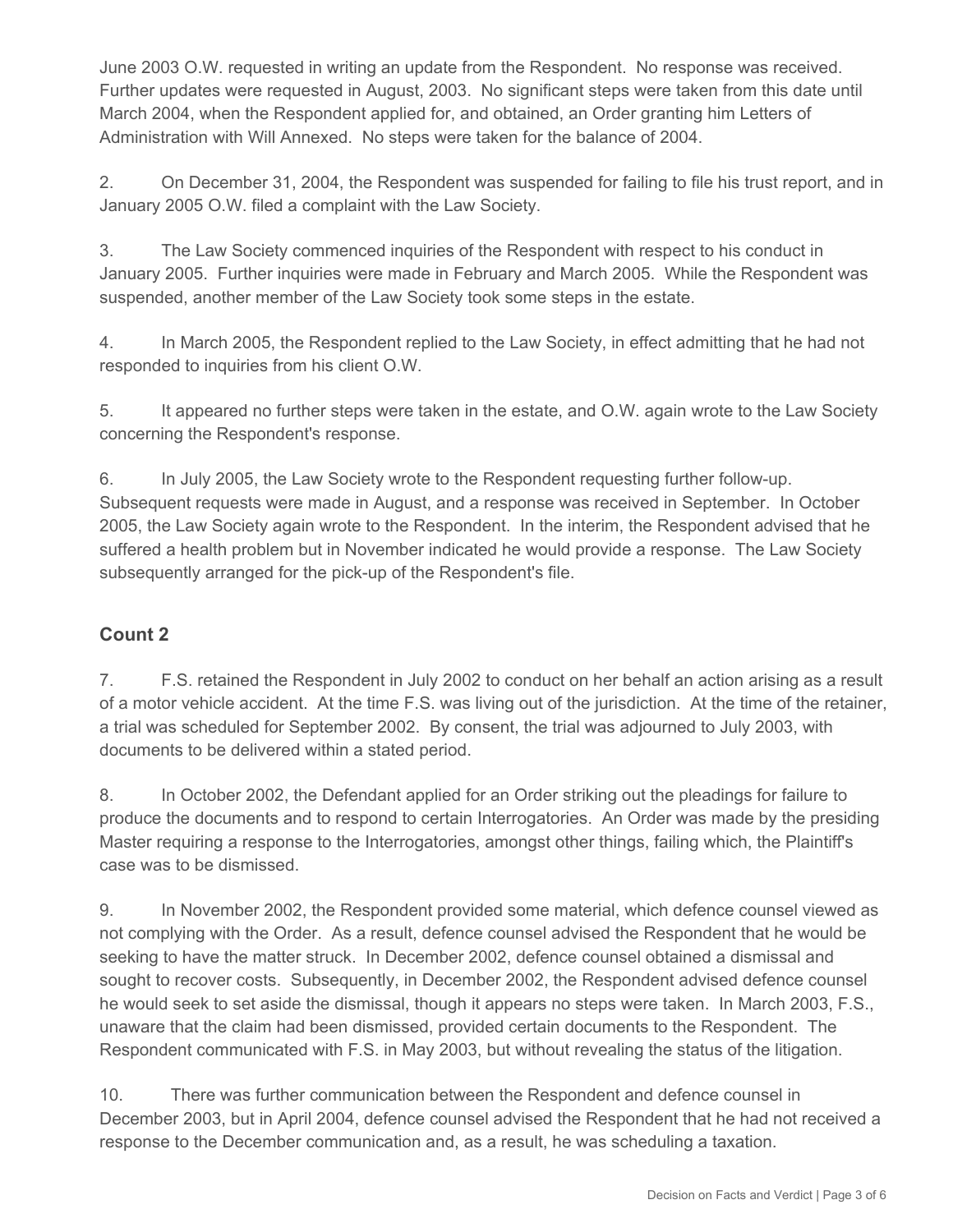June 2003 O.W. requested in writing an update from the Respondent. No response was received. Further updates were requested in August, 2003. No significant steps were taken from this date until March 2004, when the Respondent applied for, and obtained, an Order granting him Letters of Administration with Will Annexed. No steps were taken for the balance of 2004.

2. On December 31, 2004, the Respondent was suspended for failing to file his trust report, and in January 2005 O.W. filed a complaint with the Law Society.

3. The Law Society commenced inquiries of the Respondent with respect to his conduct in January 2005. Further inquiries were made in February and March 2005. While the Respondent was suspended, another member of the Law Society took some steps in the estate.

4. In March 2005, the Respondent replied to the Law Society, in effect admitting that he had not responded to inquiries from his client O.W.

5. It appeared no further steps were taken in the estate, and O.W. again wrote to the Law Society concerning the Respondent's response.

6. In July 2005, the Law Society wrote to the Respondent requesting further follow-up. Subsequent requests were made in August, and a response was received in September. In October 2005, the Law Society again wrote to the Respondent. In the interim, the Respondent advised that he suffered a health problem but in November indicated he would provide a response. The Law Society subsequently arranged for the pick-up of the Respondent's file.

# **Count 2**

7. F.S. retained the Respondent in July 2002 to conduct on her behalf an action arising as a result of a motor vehicle accident. At the time F.S. was living out of the jurisdiction. At the time of the retainer, a trial was scheduled for September 2002. By consent, the trial was adjourned to July 2003, with documents to be delivered within a stated period.

8. In October 2002, the Defendant applied for an Order striking out the pleadings for failure to produce the documents and to respond to certain Interrogatories. An Order was made by the presiding Master requiring a response to the Interrogatories, amongst other things, failing which, the Plaintiff's case was to be dismissed.

9. In November 2002, the Respondent provided some material, which defence counsel viewed as not complying with the Order. As a result, defence counsel advised the Respondent that he would be seeking to have the matter struck. In December 2002, defence counsel obtained a dismissal and sought to recover costs. Subsequently, in December 2002, the Respondent advised defence counsel he would seek to set aside the dismissal, though it appears no steps were taken. In March 2003, F.S., unaware that the claim had been dismissed, provided certain documents to the Respondent. The Respondent communicated with F.S. in May 2003, but without revealing the status of the litigation.

10. There was further communication between the Respondent and defence counsel in December 2003, but in April 2004, defence counsel advised the Respondent that he had not received a response to the December communication and, as a result, he was scheduling a taxation.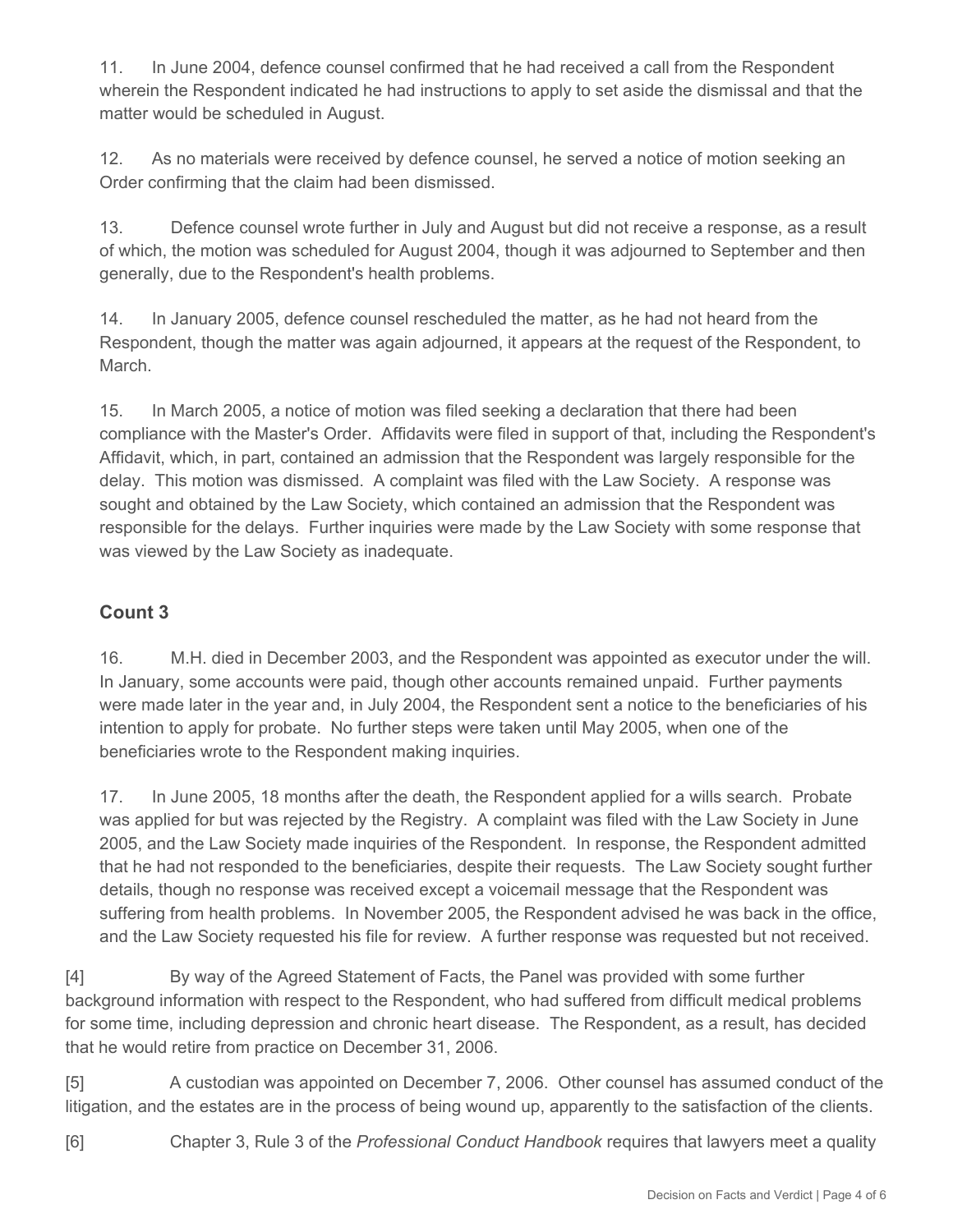11. In June 2004, defence counsel confirmed that he had received a call from the Respondent wherein the Respondent indicated he had instructions to apply to set aside the dismissal and that the matter would be scheduled in August.

12. As no materials were received by defence counsel, he served a notice of motion seeking an Order confirming that the claim had been dismissed.

13. Defence counsel wrote further in July and August but did not receive a response, as a result of which, the motion was scheduled for August 2004, though it was adjourned to September and then generally, due to the Respondent's health problems.

14. In January 2005, defence counsel rescheduled the matter, as he had not heard from the Respondent, though the matter was again adjourned, it appears at the request of the Respondent, to March.

15. In March 2005, a notice of motion was filed seeking a declaration that there had been compliance with the Master's Order. Affidavits were filed in support of that, including the Respondent's Affidavit, which, in part, contained an admission that the Respondent was largely responsible for the delay. This motion was dismissed. A complaint was filed with the Law Society. A response was sought and obtained by the Law Society, which contained an admission that the Respondent was responsible for the delays. Further inquiries were made by the Law Society with some response that was viewed by the Law Society as inadequate.

# **Count 3**

16. M.H. died in December 2003, and the Respondent was appointed as executor under the will. In January, some accounts were paid, though other accounts remained unpaid. Further payments were made later in the year and, in July 2004, the Respondent sent a notice to the beneficiaries of his intention to apply for probate. No further steps were taken until May 2005, when one of the beneficiaries wrote to the Respondent making inquiries.

17. In June 2005, 18 months after the death, the Respondent applied for a wills search. Probate was applied for but was rejected by the Registry. A complaint was filed with the Law Society in June 2005, and the Law Society made inquiries of the Respondent. In response, the Respondent admitted that he had not responded to the beneficiaries, despite their requests. The Law Society sought further details, though no response was received except a voicemail message that the Respondent was suffering from health problems. In November 2005, the Respondent advised he was back in the office, and the Law Society requested his file for review. A further response was requested but not received.

[4] By way of the Agreed Statement of Facts, the Panel was provided with some further background information with respect to the Respondent, who had suffered from difficult medical problems for some time, including depression and chronic heart disease. The Respondent, as a result, has decided that he would retire from practice on December 31, 2006.

[5] A custodian was appointed on December 7, 2006. Other counsel has assumed conduct of the litigation, and the estates are in the process of being wound up, apparently to the satisfaction of the clients.

[6] Chapter 3, Rule 3 of the *Professional Conduct Handbook* requires that lawyers meet a quality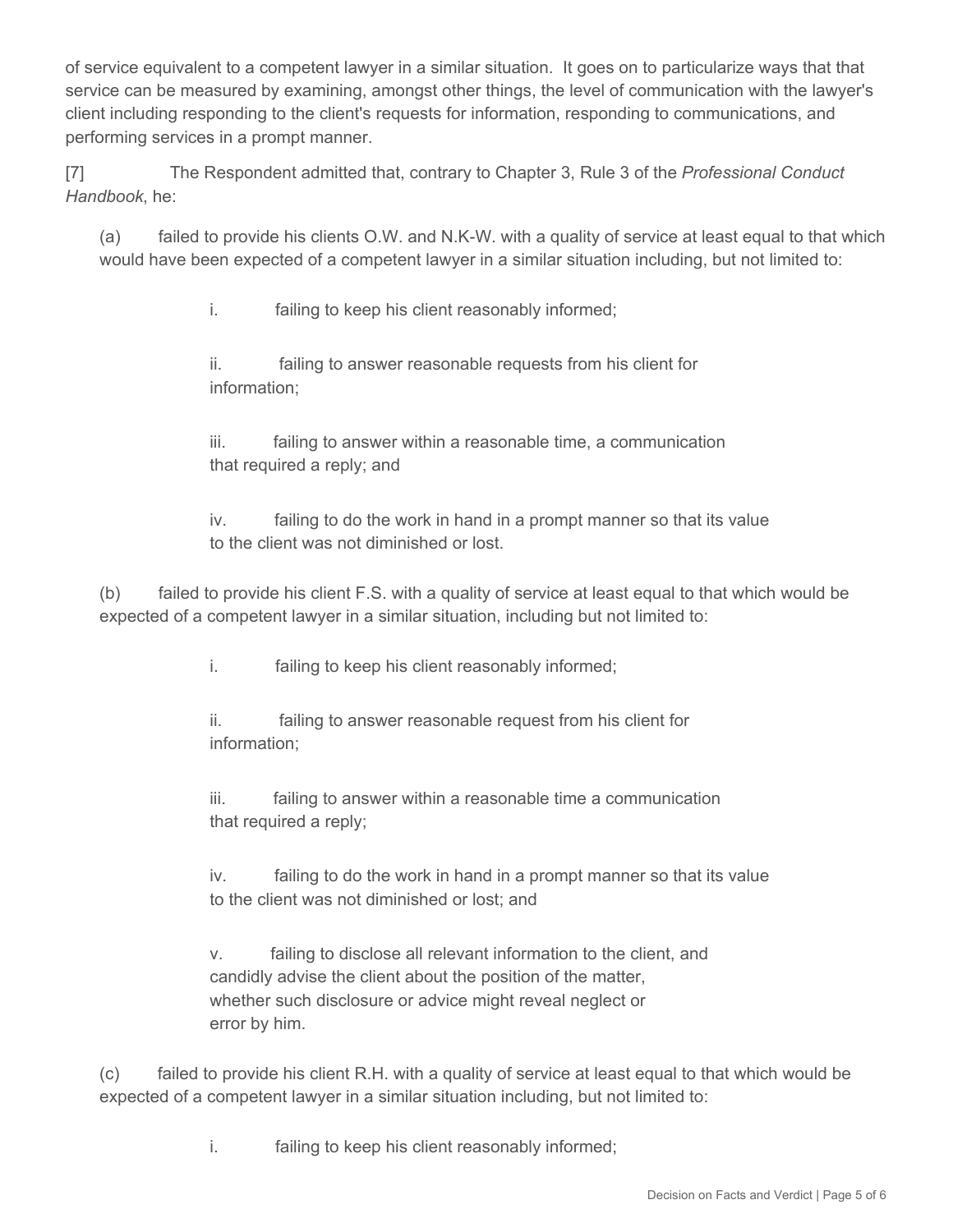of service equivalent to a competent lawyer in a similar situation. It goes on to particularize ways that that service can be measured by examining, amongst other things, the level of communication with the lawyer's client including responding to the client's requests for information, responding to communications, and performing services in a prompt manner.

[7] The Respondent admitted that, contrary to Chapter 3, Rule 3 of the *Professional Conduct Handbook*, he:

(a) failed to provide his clients O.W. and N.K-W. with a quality of service at least equal to that which would have been expected of a competent lawyer in a similar situation including, but not limited to:

i. failing to keep his client reasonably informed;

 ii. failing to answer reasonable requests from his client for information;

iii. failing to answer within a reasonable time, a communication that required a reply; and

 iv. failing to do the work in hand in a prompt manner so that its value to the client was not diminished or lost.

(b) failed to provide his client F.S. with a quality of service at least equal to that which would be expected of a competent lawyer in a similar situation, including but not limited to:

i. failing to keep his client reasonably informed;

 ii. failing to answer reasonable request from his client for information;

 iii. failing to answer within a reasonable time a communication that required a reply;

 iv. failing to do the work in hand in a prompt manner so that its value to the client was not diminished or lost; and

 v. failing to disclose all relevant information to the client, and candidly advise the client about the position of the matter, whether such disclosure or advice might reveal neglect or error by him.

(c) failed to provide his client R.H. with a quality of service at least equal to that which would be expected of a competent lawyer in a similar situation including, but not limited to:

i. failing to keep his client reasonably informed;